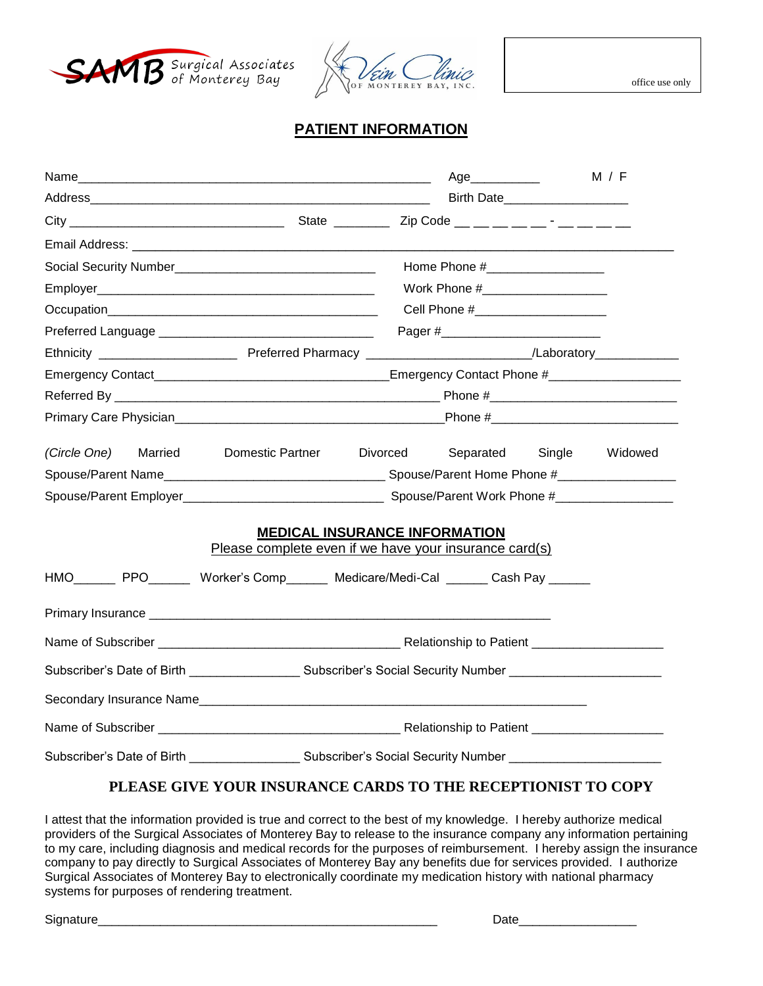



## **PATIENT INFORMATION**

|                                                                                                                                                                  |                                                                |  | Age____________                 |  | M / F |  |
|------------------------------------------------------------------------------------------------------------------------------------------------------------------|----------------------------------------------------------------|--|---------------------------------|--|-------|--|
|                                                                                                                                                                  |                                                                |  | Birth Date                      |  |       |  |
|                                                                                                                                                                  |                                                                |  |                                 |  |       |  |
|                                                                                                                                                                  |                                                                |  |                                 |  |       |  |
|                                                                                                                                                                  |                                                                |  | Home Phone #___________________ |  |       |  |
|                                                                                                                                                                  | Work Phone #_____________________                              |  |                                 |  |       |  |
|                                                                                                                                                                  | Cell Phone #_______________________                            |  |                                 |  |       |  |
|                                                                                                                                                                  |                                                                |  |                                 |  |       |  |
|                                                                                                                                                                  |                                                                |  |                                 |  |       |  |
|                                                                                                                                                                  |                                                                |  |                                 |  |       |  |
|                                                                                                                                                                  |                                                                |  |                                 |  |       |  |
|                                                                                                                                                                  |                                                                |  |                                 |  |       |  |
| (Circle One) Married                                                                                                                                             | Domestic Partner Divorced                                      |  | Separated Single Widowed        |  |       |  |
|                                                                                                                                                                  |                                                                |  |                                 |  |       |  |
|                                                                                                                                                                  |                                                                |  |                                 |  |       |  |
| <b>MEDICAL INSURANCE INFORMATION</b><br>Please complete even if we have your insurance card(s)<br>HMO PPO Worker's Comp Medicare/Medi-Cal ______ Cash Pay ______ |                                                                |  |                                 |  |       |  |
|                                                                                                                                                                  |                                                                |  |                                 |  |       |  |
|                                                                                                                                                                  |                                                                |  |                                 |  |       |  |
| Subscriber's Date of Birth Subscriber's Social Security Number                                                                                                   |                                                                |  |                                 |  |       |  |
|                                                                                                                                                                  |                                                                |  |                                 |  |       |  |
|                                                                                                                                                                  |                                                                |  |                                 |  |       |  |
|                                                                                                                                                                  | Subscriber's Date of Birth Subscriber's Social Security Number |  |                                 |  |       |  |

## **PLEASE GIVE YOUR INSURANCE CARDS TO THE RECEPTIONIST TO COPY**

I attest that the information provided is true and correct to the best of my knowledge. I hereby authorize medical providers of the Surgical Associates of Monterey Bay to release to the insurance company any information pertaining to my care, including diagnosis and medical records for the purposes of reimbursement. I hereby assign the insurance company to pay directly to Surgical Associates of Monterey Bay any benefits due for services provided. I authorize Surgical Associates of Monterey Bay to electronically coordinate my medication history with national pharmacy systems for purposes of rendering treatment.

Signature\_\_\_\_\_\_\_\_\_\_\_\_\_\_\_\_\_\_\_\_\_\_\_\_\_\_\_\_\_\_\_\_\_\_\_\_\_\_\_\_\_\_\_\_\_\_\_\_\_ Date\_\_\_\_\_\_\_\_\_\_\_\_\_\_\_\_\_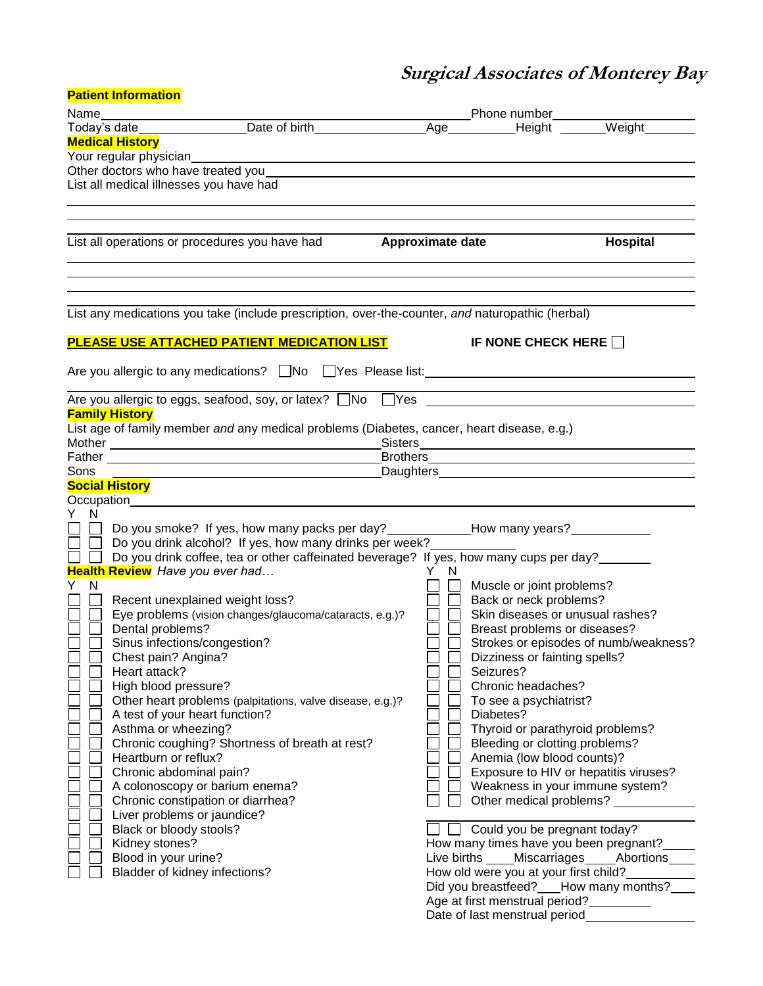## **Surgical Associates of Monterey Bay**

| <b>Patient Information</b>                                                                                                                                                                                   |                                                                                                                                                                                                                                           |
|--------------------------------------------------------------------------------------------------------------------------------------------------------------------------------------------------------------|-------------------------------------------------------------------------------------------------------------------------------------------------------------------------------------------------------------------------------------------|
| Name___________________________Date of birth____________________________Phone number________________<br>Today's date_________________Date of birth_________________________________Height_________Weight____ |                                                                                                                                                                                                                                           |
|                                                                                                                                                                                                              |                                                                                                                                                                                                                                           |
| <b>Medical History</b>                                                                                                                                                                                       |                                                                                                                                                                                                                                           |
| Your regular physician                                                                                                                                                                                       |                                                                                                                                                                                                                                           |
|                                                                                                                                                                                                              |                                                                                                                                                                                                                                           |
| List all medical illnesses you have had                                                                                                                                                                      |                                                                                                                                                                                                                                           |
|                                                                                                                                                                                                              |                                                                                                                                                                                                                                           |
|                                                                                                                                                                                                              |                                                                                                                                                                                                                                           |
| List all operations or procedures you have had <b>Approximate date</b>                                                                                                                                       | Hospital                                                                                                                                                                                                                                  |
|                                                                                                                                                                                                              |                                                                                                                                                                                                                                           |
| List any medications you take (include prescription, over-the-counter, and naturopathic (herbal)                                                                                                             |                                                                                                                                                                                                                                           |
|                                                                                                                                                                                                              |                                                                                                                                                                                                                                           |
| PLEASE USE ATTACHED PATIENT MEDICATION LIST                                                                                                                                                                  | IF NONE CHECK HERE                                                                                                                                                                                                                        |
| Are you allergic to any medications? $\Box$ No $\Box$ Yes Please list:                                                                                                                                       |                                                                                                                                                                                                                                           |
| Are you allergic to eggs, seafood, soy, or latex? □No □Yes ____________________                                                                                                                              |                                                                                                                                                                                                                                           |
| <b>Family History</b>                                                                                                                                                                                        |                                                                                                                                                                                                                                           |
| List age of family member and any medical problems (Diabetes, cancer, heart disease, e.g.)                                                                                                                   |                                                                                                                                                                                                                                           |
|                                                                                                                                                                                                              | <u>Sisters</u> <b>Contract Contract Contract Contract Contract Contract Contract Contract Contract Contract Contract Contract Contract Contract Contract Contract Contract Contract Contract Contract Contract Contract Contract Cont</b> |
|                                                                                                                                                                                                              | Brothers <b>Executive Contract Contract Contract Contract Contract Contract Contract Contract Contract Contract Contract Contract Contract Contract Contract Contract Contract Contract Contract Contract Contract Contract Cont</b>      |
| Sons                                                                                                                                                                                                         | Daughters <b>Exercise Contract Contract Contract Contract Contract Contract Contract Contract Contract Contract Contract Contract Contract Contract Contract Contract Contract Contract Contract Contract Contract Contract Cont</b>      |
| <b>Social History</b>                                                                                                                                                                                        |                                                                                                                                                                                                                                           |
|                                                                                                                                                                                                              |                                                                                                                                                                                                                                           |
| Y N                                                                                                                                                                                                          |                                                                                                                                                                                                                                           |
| $\Box$ $\Box$                                                                                                                                                                                                | Do you smoke? If yes, how many packs per day? ___________________________________                                                                                                                                                         |
| $\square$ $\square$<br>Do you drink alcohol? If yes, how many drinks per week?                                                                                                                               |                                                                                                                                                                                                                                           |
| □ □ Do you drink coffee, tea or other caffeinated beverage? If yes, how many cups per day?<br>Health Review Have you ever had                                                                                | Y N                                                                                                                                                                                                                                       |
| Y .<br>N.                                                                                                                                                                                                    | Muscle or joint problems?                                                                                                                                                                                                                 |
| Recent unexplained weight loss?                                                                                                                                                                              | Back or neck problems?                                                                                                                                                                                                                    |
| Eye problems (vision changes/glaucoma/cataracts, e.g.)?                                                                                                                                                      | Skin diseases or unusual rashes?                                                                                                                                                                                                          |
| Dental problems?                                                                                                                                                                                             | Breast problems or diseases?                                                                                                                                                                                                              |
| Sinus infections/congestion?                                                                                                                                                                                 | Strokes or episodes of numb/weakness?                                                                                                                                                                                                     |
| Chest pain? Angina?                                                                                                                                                                                          | Dizziness or fainting spells?                                                                                                                                                                                                             |
| Heart attack?                                                                                                                                                                                                | Seizures?                                                                                                                                                                                                                                 |
| High blood pressure?                                                                                                                                                                                         | Chronic headaches?                                                                                                                                                                                                                        |
| Other heart problems (palpitations, valve disease, e.g.)?                                                                                                                                                    | To see a psychiatrist?                                                                                                                                                                                                                    |
| A test of your heart function?                                                                                                                                                                               | Diabetes?                                                                                                                                                                                                                                 |
| Asthma or wheezing?                                                                                                                                                                                          | Thyroid or parathyroid problems?                                                                                                                                                                                                          |
| Chronic coughing? Shortness of breath at rest?                                                                                                                                                               | Bleeding or clotting problems?                                                                                                                                                                                                            |
| Heartburn or reflux?                                                                                                                                                                                         | Anemia (low blood counts)?                                                                                                                                                                                                                |
| Chronic abdominal pain?                                                                                                                                                                                      | Exposure to HIV or hepatitis viruses?                                                                                                                                                                                                     |
| A colonoscopy or barium enema?                                                                                                                                                                               | Weakness in your immune system?                                                                                                                                                                                                           |
| Chronic constipation or diarrhea?                                                                                                                                                                            | Other medical problems?                                                                                                                                                                                                                   |
| Liver problems or jaundice?                                                                                                                                                                                  |                                                                                                                                                                                                                                           |
| Black or bloody stools?                                                                                                                                                                                      | Could you be pregnant today?                                                                                                                                                                                                              |
| Kidney stones?                                                                                                                                                                                               | How many times have you been pregnant?                                                                                                                                                                                                    |
| Blood in your urine?                                                                                                                                                                                         | Live births ____ Miscarriages ____ Abortions                                                                                                                                                                                              |
| Bladder of kidney infections?                                                                                                                                                                                | How old were you at your first child?                                                                                                                                                                                                     |
|                                                                                                                                                                                                              | Did you breastfeed? ___ How many months?                                                                                                                                                                                                  |
|                                                                                                                                                                                                              | Age at first menstrual period?                                                                                                                                                                                                            |
|                                                                                                                                                                                                              | Date of last menstrual period_                                                                                                                                                                                                            |